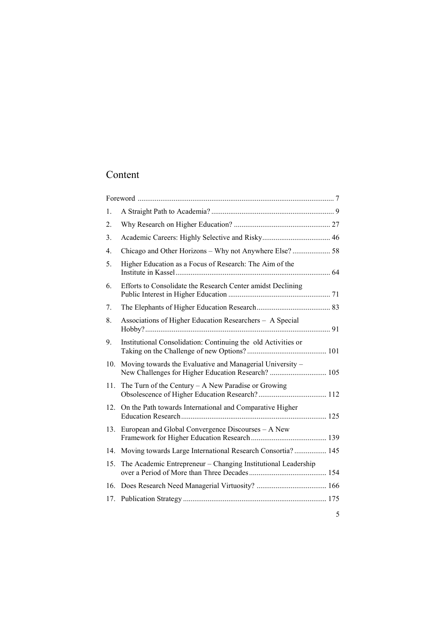# Content

| 1.  |                                                                                                                 |  |
|-----|-----------------------------------------------------------------------------------------------------------------|--|
| 2.  |                                                                                                                 |  |
| 3.  |                                                                                                                 |  |
| 4.  | Chicago and Other Horizons - Why not Anywhere Else?  58                                                         |  |
| 5.  | Higher Education as a Focus of Research: The Aim of the                                                         |  |
| 6.  | Efforts to Consolidate the Research Center amidst Declining                                                     |  |
| 7.  |                                                                                                                 |  |
| 8.  | Associations of Higher Education Researchers - A Special                                                        |  |
| 9.  | Institutional Consolidation: Continuing the old Activities or                                                   |  |
| 10. | Moving towards the Evaluative and Managerial University -<br>New Challenges for Higher Education Research?  105 |  |
| 11. | The Turn of the Century $- A$ New Paradise or Growing                                                           |  |
| 12. | On the Path towards International and Comparative Higher                                                        |  |
| 13. | European and Global Convergence Discourses - A New                                                              |  |
| 14. | Moving towards Large International Research Consortia? 145                                                      |  |
| 15. | The Academic Entrepreneur – Changing Institutional Leadership                                                   |  |
| 16. |                                                                                                                 |  |
| 17. |                                                                                                                 |  |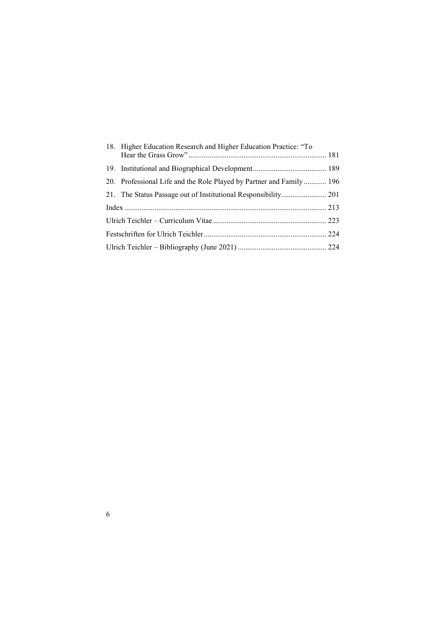|  | 18. Higher Education Research and Higher Education Practice: "To    |  |
|--|---------------------------------------------------------------------|--|
|  |                                                                     |  |
|  | 20. Professional Life and the Role Played by Partner and Family 196 |  |
|  | 21. The Status Passage out of Institutional Responsibility 201      |  |
|  |                                                                     |  |
|  |                                                                     |  |
|  |                                                                     |  |
|  |                                                                     |  |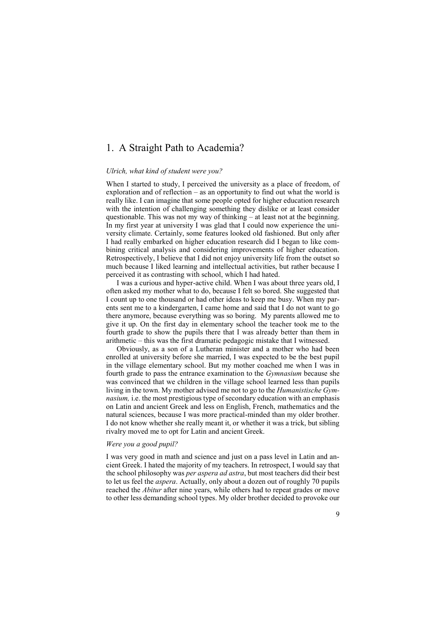# <span id="page-2-0"></span>1. A Straight Path to Academia?

#### *Ulrich, what kind of student were you?*

When I started to study, I perceived the university as a place of freedom, of exploration and of reflection – as an opportunity to find out what the world is really like. I can imagine that some people opted for higher education research with the intention of challenging something they dislike or at least consider questionable. This was not my way of thinking – at least not at the beginning. In my first year at university I was glad that I could now experience the university climate. Certainly, some features looked old fashioned. But only after I had really embarked on higher education research did I began to like combining critical analysis and considering improvements of higher education. Retrospectively, I believe that I did not enjoy university life from the outset so much because I liked learning and intellectual activities, but rather because I perceived it as contrasting with school, which I had hated.

I was a curious and hyper-active child. When I was about three years old, I often asked my mother what to do, because I felt so bored. She suggested that I count up to one thousand or had other ideas to keep me busy. When my parents sent me to a kindergarten, I came home and said that I do not want to go there anymore, because everything was so boring. My parents allowed me to give it up. On the first day in elementary school the teacher took me to the fourth grade to show the pupils there that I was already better than them in arithmetic – this was the first dramatic pedagogic mistake that I witnessed.

Obviously, as a son of a Lutheran minister and a mother who had been enrolled at university before she married, I was expected to be the best pupil in the village elementary school. But my mother coached me when I was in fourth grade to pass the entrance examination to the *Gymnasium* because she was convinced that we children in the village school learned less than pupils living in the town. My mother advised me not to go to the *Humanistische Gymnasium,* i.e. the most prestigious type of secondary education with an emphasis on Latin and ancient Greek and less on English, French, mathematics and the natural sciences, because I was more practical-minded than my older brother. I do not know whether she really meant it, or whether it was a trick, but sibling rivalry moved me to opt for Latin and ancient Greek.

# *Were you a good pupil?*

I was very good in math and science and just on a pass level in Latin and ancient Greek. I hated the majority of my teachers. In retrospect, I would say that the school philosophy was *per aspera ad astra*, but most teachers did their best to let us feel the *aspera*. Actually, only about a dozen out of roughly 70 pupils reached the *Abitur* after nine years, while others had to repeat grades or move to other less demanding school types. My older brother decided to provoke our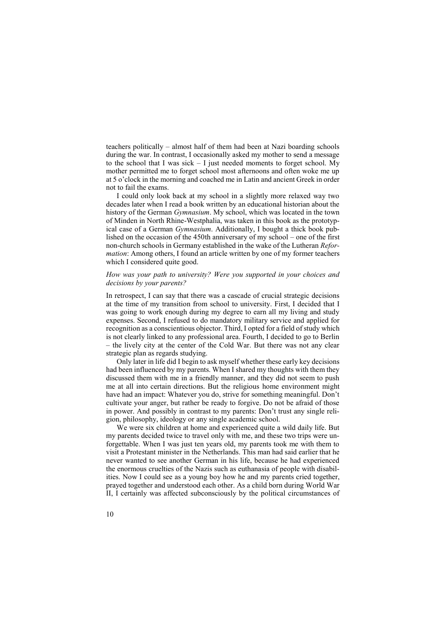teachers politically – almost half of them had been at Nazi boarding schools during the war. In contrast, I occasionally asked my mother to send a message to the school that I was sick  $-1$  just needed moments to forget school. My mother permitted me to forget school most afternoons and often woke me up at 5 o'clock in the morning and coached me in Latin and ancient Greek in order not to fail the exams.

I could only look back at my school in a slightly more relaxed way two decades later when I read a book written by an educational historian about the history of the German *Gymnasium*. My school, which was located in the town of Minden in North Rhine-Westphalia, was taken in this book as the prototypical case of a German *Gymnasium*. Additionally, I bought a thick book published on the occasion of the 450th anniversary of my school – one of the first non-church schools in Germany established in the wake of the Lutheran *Reformation*: Among others, I found an article written by one of my former teachers which I considered quite good.

# *How was your path to university? Were you supported in your choices and decisions by your parents?*

In retrospect, I can say that there was a cascade of crucial strategic decisions at the time of my transition from school to university. First, I decided that I was going to work enough during my degree to earn all my living and study expenses. Second, I refused to do mandatory military service and applied for recognition as a conscientious objector. Third, I opted for a field of study which is not clearly linked to any professional area. Fourth, I decided to go to Berlin – the lively city at the center of the Cold War. But there was not any clear strategic plan as regards studying.

Only later in life did I begin to ask myself whether these early key decisions had been influenced by my parents. When I shared my thoughts with them they discussed them with me in a friendly manner, and they did not seem to push me at all into certain directions. But the religious home environment might have had an impact: Whatever you do, strive for something meaningful. Don't cultivate your anger, but rather be ready to forgive. Do not be afraid of those in power. And possibly in contrast to my parents: Don't trust any single religion, philosophy, ideology or any single academic school.

We were six children at home and experienced quite a wild daily life. But my parents decided twice to travel only with me, and these two trips were unforgettable. When I was just ten years old, my parents took me with them to visit a Protestant minister in the Netherlands. This man had said earlier that he never wanted to see another German in his life, because he had experienced the enormous cruelties of the Nazis such as euthanasia of people with disabilities. Now I could see as a young boy how he and my parents cried together, prayed together and understood each other. As a child born during World War II, I certainly was affected subconsciously by the political circumstances of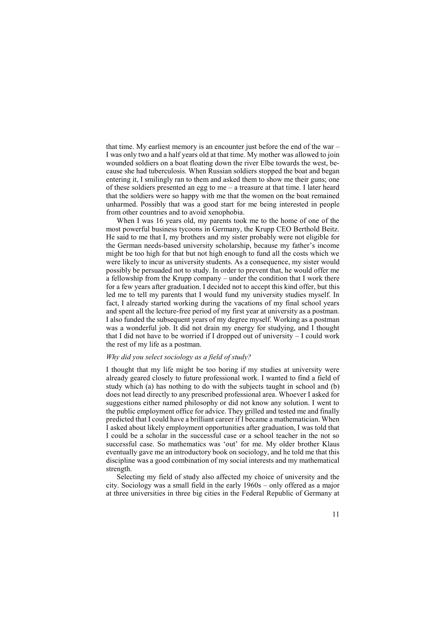that time. My earliest memory is an encounter just before the end of the war – I was only two and a half years old at that time. My mother was allowed to join wounded soldiers on a boat floating down the river Elbe towards the west, because she had tuberculosis. When Russian soldiers stopped the boat and began entering it, I smilingly ran to them and asked them to show me their guns; one of these soldiers presented an egg to me – a treasure at that time. I later heard that the soldiers were so happy with me that the women on the boat remained unharmed. Possibly that was a good start for me being interested in people from other countries and to avoid xenophobia.

When I was 16 years old, my parents took me to the home of one of the most powerful business tycoons in Germany, the Krupp CEO Berthold Beitz. He said to me that I, my brothers and my sister probably were not eligible for the German needs-based university scholarship, because my father's income might be too high for that but not high enough to fund all the costs which we were likely to incur as university students. As a consequence, my sister would possibly be persuaded not to study. In order to prevent that, he would offer me a fellowship from the Krupp company – under the condition that I work there for a few years after graduation. I decided not to accept this kind offer, but this led me to tell my parents that I would fund my university studies myself. In fact, I already started working during the vacations of my final school years and spent all the lecture-free period of my first year at university as a postman. I also funded the subsequent years of my degree myself. Working as a postman was a wonderful job. It did not drain my energy for studying, and I thought that I did not have to be worried if I dropped out of university – I could work the rest of my life as a postman.

# *Why did you select sociology as a field of study?*

I thought that my life might be too boring if my studies at university were already geared closely to future professional work. I wanted to find a field of study which (a) has nothing to do with the subjects taught in school and (b) does not lead directly to any prescribed professional area. Whoever I asked for suggestions either named philosophy or did not know any solution. I went to the public employment office for advice. They grilled and tested me and finally predicted that I could have a brilliant career if I became a mathematician. When I asked about likely employment opportunities after graduation, I was told that I could be a scholar in the successful case or a school teacher in the not so successful case. So mathematics was 'out' for me. My older brother Klaus eventually gave me an introductory book on sociology, and he told me that this discipline was a good combination of my social interests and my mathematical strength.

Selecting my field of study also affected my choice of university and the city. Sociology was a small field in the early 1960s – only offered as a major at three universities in three big cities in the Federal Republic of Germany at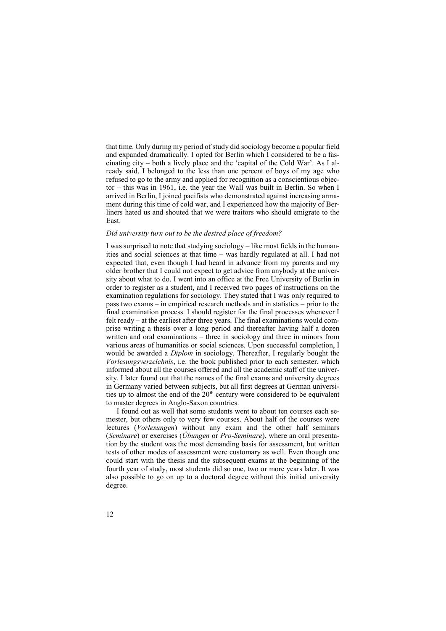that time. Only during my period of study did sociology become a popular field and expanded dramatically. I opted for Berlin which I considered to be a fascinating city – both a lively place and the 'capital of the Cold War'. As I already said, I belonged to the less than one percent of boys of my age who refused to go to the army and applied for recognition as a conscientious objector – this was in 1961, i.e. the year the Wall was built in Berlin. So when I arrived in Berlin, I joined pacifists who demonstrated against increasing armament during this time of cold war, and I experienced how the majority of Berliners hated us and shouted that we were traitors who should emigrate to the East.

# *Did university turn out to be the desired place of freedom?*

I was surprised to note that studying sociology – like most fields in the humanities and social sciences at that time – was hardly regulated at all. I had not expected that, even though I had heard in advance from my parents and my older brother that I could not expect to get advice from anybody at the university about what to do. I went into an office at the Free University of Berlin in order to register as a student, and I received two pages of instructions on the examination regulations for sociology. They stated that I was only required to pass two exams – in empirical research methods and in statistics – prior to the final examination process. I should register for the final processes whenever I felt ready – at the earliest after three years. The final examinations would comprise writing a thesis over a long period and thereafter having half a dozen written and oral examinations – three in sociology and three in minors from various areas of humanities or social sciences. Upon successful completion, I would be awarded a *Diplom* in sociology. Thereafter, I regularly bought the *Vorlesungsverzeichnis*, i.e. the book published prior to each semester, which informed about all the courses offered and all the academic staff of the university. I later found out that the names of the final exams and university degrees in Germany varied between subjects, but all first degrees at German universities up to almost the end of the  $20<sup>th</sup>$  century were considered to be equivalent to master degrees in Anglo-Saxon countries.

I found out as well that some students went to about ten courses each semester, but others only to very few courses. About half of the courses were lectures (*Vorlesungen*) without any exam and the other half seminars (*Seminare*) or exercises (*Übungen* or *Pro-Seminare*), where an oral presentation by the student was the most demanding basis for assessment, but written tests of other modes of assessment were customary as well. Even though one could start with the thesis and the subsequent exams at the beginning of the fourth year of study, most students did so one, two or more years later. It was also possible to go on up to a doctoral degree without this initial university degree.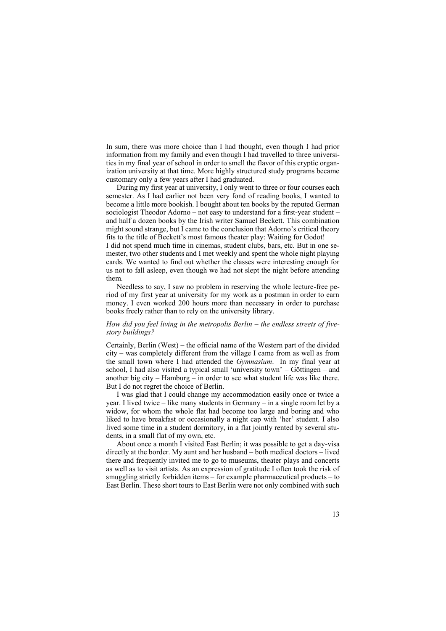In sum, there was more choice than I had thought, even though I had prior information from my family and even though I had travelled to three universities in my final year of school in order to smell the flavor of this cryptic organization university at that time. More highly structured study programs became customary only a few years after I had graduated.

During my first year at university, I only went to three or four courses each semester. As I had earlier not been very fond of reading books, I wanted to become a little more bookish. I bought about ten books by the reputed German sociologist Theodor Adorno – not easy to understand for a first-year student – and half a dozen books by the Irish writer Samuel Beckett. This combination might sound strange, but I came to the conclusion that Adorno's critical theory fits to the title of Beckett's most famous theater play: Waiting for Godot! I did not spend much time in cinemas, student clubs, bars, etc. But in one semester, two other students and I met weekly and spent the whole night playing cards. We wanted to find out whether the classes were interesting enough for us not to fall asleep, even though we had not slept the night before attending them.

Needless to say, I saw no problem in reserving the whole lecture-free period of my first year at university for my work as a postman in order to earn money. I even worked 200 hours more than necessary in order to purchase books freely rather than to rely on the university library.

# *How did you feel living in the metropolis Berlin – the endless streets of fivestory buildings?*

Certainly, Berlin (West) – the official name of the Western part of the divided city – was completely different from the village I came from as well as from the small town where I had attended the *Gymnasium*. In my final year at school, I had also visited a typical small 'university town' – Göttingen – and another big city – Hamburg – in order to see what student life was like there. But I do not regret the choice of Berlin.

I was glad that I could change my accommodation easily once or twice a year. I lived twice – like many students in Germany – in a single room let by a widow, for whom the whole flat had become too large and boring and who liked to have breakfast or occasionally a night cap with 'her' student. I also lived some time in a student dormitory, in a flat jointly rented by several students, in a small flat of my own, etc.

About once a month I visited East Berlin; it was possible to get a day-visa directly at the border. My aunt and her husband – both medical doctors – lived there and frequently invited me to go to museums, theater plays and concerts as well as to visit artists. As an expression of gratitude I often took the risk of smuggling strictly forbidden items – for example pharmaceutical products – to East Berlin. These short tours to East Berlin were not only combined with such